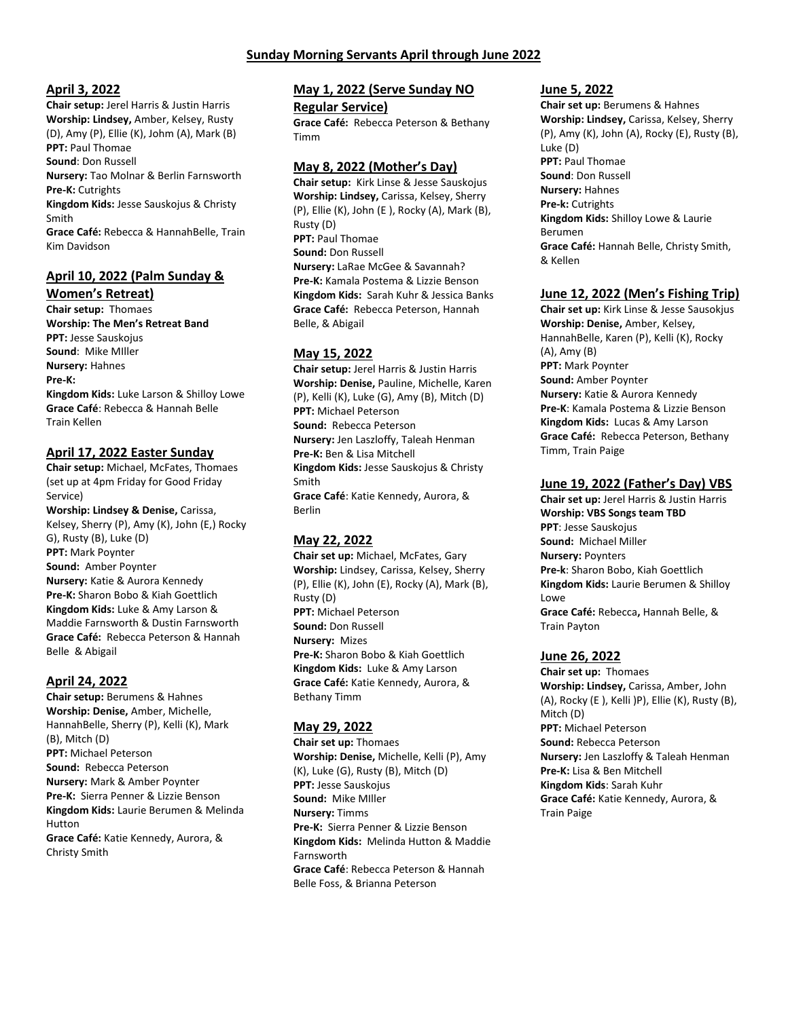## **Sunday Morning Servants April through June 2022**

#### **April 3, 2022**

**Chair setup:** Jerel Harris & Justin Harris **Worship: Lindsey,** Amber, Kelsey, Rusty (D), Amy (P), Ellie (K), Johm (A), Mark (B) **PPT:** Paul Thomae **Sound**: Don Russell **Nursery:** Tao Molnar & Berlin Farnsworth

**Pre-K:** Cutrights **Kingdom Kids:** Jesse Sauskojus & Christy Smith

**Grace Café:** Rebecca & HannahBelle, Train Kim Davidson

# **April 10, 2022 (Palm Sunday &**

**Women's Retreat) Chair setup:** Thomaes **Worship: The Men's Retreat Band PPT:** Jesse Sauskojus **Sound**: Mike MIller **Nursery:** Hahnes **Pre-K: Kingdom Kids:** Luke Larson & Shilloy Lowe **Grace Café**: Rebecca & Hannah Belle Train Kellen

# **April 17, 2022 Easter Sunday**

**Chair setup:** Michael, McFates, Thomaes (set up at 4pm Friday for Good Friday Service) **Worship: Lindsey & Denise,** Carissa, Kelsey, Sherry (P), Amy (K), John (E,) Rocky G), Rusty (B), Luke (D) **PPT:** Mark Poynter **Sound:** Amber Poynter **Nursery:** Katie & Aurora Kennedy **Pre-K:** Sharon Bobo & Kiah Goettlich **Kingdom Kids:** Luke & Amy Larson & Maddie Farnsworth & Dustin Farnsworth **Grace Café:** Rebecca Peterson & Hannah Belle & Abigail

### **April 24, 2022**

**Chair setup:** Berumens & Hahnes **Worship: Denise,** Amber, Michelle, HannahBelle, Sherry (P), Kelli (K), Mark (B), Mitch (D) **PPT:** Michael Peterson **Sound:** Rebecca Peterson **Nursery:** Mark & Amber Poynter **Pre-K:** Sierra Penner & Lizzie Benson **Kingdom Kids:** Laurie Berumen & Melinda Hutton **Grace Café:** Katie Kennedy, Aurora, & Christy Smith

### **May 1, 2022 (Serve Sunday NO**

#### **Regular Service)**

**Grace Café:** Rebecca Peterson & Bethany Timm

#### **May 8, 2022 (Mother's Day)**

**Chair setup:** Kirk Linse & Jesse Sauskojus **Worship: Lindsey,** Carissa, Kelsey, Sherry (P), Ellie (K), John (E ), Rocky (A), Mark (B), Rusty (D) **PPT:** Paul Thomae **Sound:** Don Russell **Nursery:** LaRae McGee & Savannah? **Pre-K:** Kamala Postema & Lizzie Benson **Kingdom Kids:** Sarah Kuhr & Jessica Banks **Grace Café:** Rebecca Peterson, Hannah Belle, & Abigail

## **May 15, 2022**

**Chair setup:** Jerel Harris & Justin Harris **Worship: Denise,** Pauline, Michelle, Karen (P), Kelli (K), Luke (G), Amy (B), Mitch (D) **PPT:** Michael Peterson **Sound:** Rebecca Peterson **Nursery:** Jen Laszloffy, Taleah Henman **Pre-K:** Ben & Lisa Mitchell **Kingdom Kids:** Jesse Sauskojus & Christy Smith **Grace Café**: Katie Kennedy, Aurora, & Berlin

### **May 22, 2022**

**Chair set up:** Michael, McFates, Gary **Worship:** Lindsey, Carissa, Kelsey, Sherry (P), Ellie (K), John (E), Rocky (A), Mark (B), Rusty (D) **PPT:** Michael Peterson **Sound:** Don Russell **Nursery:** Mizes **Pre-K:** Sharon Bobo & Kiah Goettlich **Kingdom Kids:** Luke & Amy Larson **Grace Café:** Katie Kennedy, Aurora, & Bethany Timm

### **May 29, 2022**

**Chair set up:** Thomaes **Worship: Denise,** Michelle, Kelli (P), Amy (K), Luke (G), Rusty (B), Mitch (D) **PPT:** Jesse Sauskojus **Sound:** Mike MIller **Nursery:** Timms **Pre-K:** Sierra Penner & Lizzie Benson **Kingdom Kids:** Melinda Hutton & Maddie Farnsworth **Grace Café**: Rebecca Peterson & Hannah Belle Foss, & Brianna Peterson

### **June 5, 2022**

**Chair set up:** Berumens & Hahnes **Worship: Lindsey,** Carissa, Kelsey, Sherry (P), Amy (K), John (A), Rocky (E), Rusty (B), Luke (D) **PPT:** Paul Thomae **Sound**: Don Russell **Nursery:** Hahnes **Pre-k:** Cutrights **Kingdom Kids:** Shilloy Lowe & Laurie Berumen **Grace Café:** Hannah Belle, Christy Smith, & Kellen

## **June 12, 2022 (Men's Fishing Trip)**

**Chair set up:** Kirk Linse & Jesse Sausokjus **Worship: Denise,** Amber, Kelsey, HannahBelle, Karen (P), Kelli (K), Rocky (A), Amy (B) **PPT:** Mark Poynter **Sound:** Amber Poynter **Nursery:** Katie & Aurora Kennedy **Pre-K**: Kamala Postema & Lizzie Benson **Kingdom Kids:** Lucas & Amy Larson **Grace Café:** Rebecca Peterson, Bethany Timm, Train Paige

# **June 19, 2022 (Father's Day) VBS**

**Chair set up:** Jerel Harris & Justin Harris **Worship: VBS Songs team TBD PPT**: Jesse Sauskojus **Sound:** Michael Miller **Nursery:** Poynters **Pre-k**: Sharon Bobo, Kiah Goettlich **Kingdom Kids:** Laurie Berumen & Shilloy Lowe **Grace Café:** Rebecca**,** Hannah Belle, & Train Payton

# **June 26, 2022**

**Chair set up:** Thomaes **Worship: Lindsey,** Carissa, Amber, John (A), Rocky (E ), Kelli )P), Ellie (K), Rusty (B), Mitch (D) **PPT:** Michael Peterson **Sound:** Rebecca Peterson **Nursery:** Jen Laszloffy & Taleah Henman **Pre-K:** Lisa & Ben Mitchell **Kingdom Kids**: Sarah Kuhr **Grace Café:** Katie Kennedy, Aurora, & Train Paige